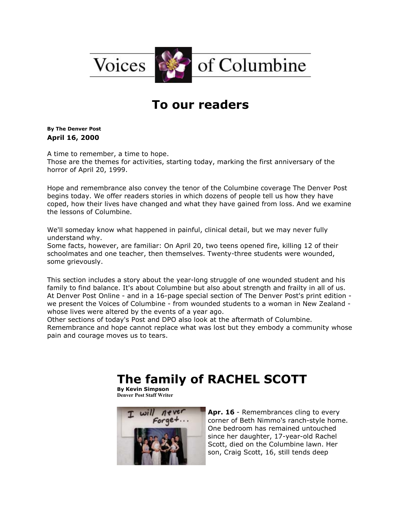

## **To our readers**

**By [The Denver Post](mailto:newsroom@denverpost.com) April 16, 2000**

A time to remember, a time to hope.

Those are the themes for activities, starting today, marking the first anniversary of the horror of April 20, 1999.

Hope and remembrance also convey the tenor of the Columbine coverage The Denver Post begins today. We offer readers stories in which dozens of people tell us how they have coped, how their lives have changed and what they have gained from loss. And we examine the lessons of Columbine.

We'll someday know what happened in painful, clinical detail, but we may never fully understand why.

Some facts, however, are familiar: On April 20, two teens opened fire, killing 12 of their schoolmates and one teacher, then themselves. Twenty-three students were wounded, some grievously.

This section includes a story about the year-long struggle of one wounded student and his family to find balance. It's about Columbine but also about strength and frailty in all of us. At Denver Post Online - and in a 16-page special section of The Denver Post's print edition we present the Voices of Columbine - from wounded students to a woman in New Zealand whose lives were altered by the events of a year ago.

Other sections of today's Post and DPO also look at the aftermath of Columbine. Remembrance and hope cannot replace what was lost but they embody a community whose

pain and courage moves us to tears.

## **The family of RACHEL SCOTT**

**By [Kevin Simpson](mailto:newsroom@denverpost.com) Denver Post Staff Writer**



**Apr. 16** - Remembrances cling to every corner of Beth Nimmo's ranch-style home. One bedroom has remained untouched since her daughter, 17-year-old Rachel Scott, died on the Columbine lawn. Her son, Craig Scott, 16, still tends deep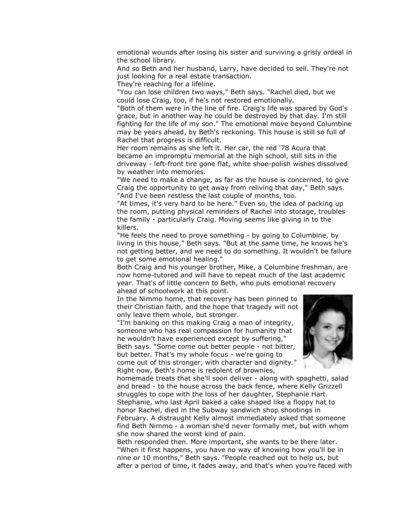emotional wounds after losing his sister and surviving a grisly ordeal in the school library.

And so Beth and her husband, Larry, have decided to sell. They're not just looking for a real estate transaction.

They're reaching for a lifeline.

"You can lose children two ways," Beth says. "Rachel died, but we could lose Craig, too, if he's not restored emotionally.

"Both of them were in the line of fire. Craig's life was spared by God's grace, but in another way he could be destroyed by that day. I'm still fighting for the life of my son." The emotional move beyond Columbine may be years ahead, by Beth's reckoning. This house is still so full of Rachel that progress is difficult.

Her room remains as she left it. Her car, the red '78 Acura that became an impromptu memorial at the high school, still sits in the driveway - left-front tire gone flat, white shoe-polish wishes dissolved by weather into memories.

"We need to make a change, as far as the house is concerned, to give Craig the opportunity to get away from reliving that day," Beth says. "And I've been restless the last couple of months, too.

"At times, it's very hard to be here." Even so, the idea of packing up the room, putting physical reminders of Rachel into storage, troubles the family - particularly Craig. Moving seems like giving in to the killers.

"He feels the need to prove something - by going to Columbine, by living in this house," Beth says. "But at the same time, he knows he's not getting better, and we need to do something. It wouldn't be failure to get some emotional healing."

Both Craig and his younger brother, Mike, a Columbine freshman, are now home-tutored and will have to repeat much of the last academic year. That's of little concern to Beth, who puts emotional recovery ahead of schoolwork at this point.

In the Nimmo home, that recovery has been pinned to their Christian faith, and the hope that tragedy will not only leave them whole, but stronger.

"I'm banking on this making Craig a man of integrity, someone who has real compassion for humanity that he wouldn't have experienced except by suffering," Beth says. "Some come out better people - not bitter, but better. That's my whole focus - we're going to come out of this stronger, with character and dignity." Right now, Beth's home is redolent of brownies,



homemade treats that she'll soon deliver - along with spaghetti, salad and bread - to the house across the back fence, where Kelly Grizzell struggles to cope with the loss of her daughter, Stephanie Hart. Stephanie, who last April baked a cake shaped like a floppy hat to honor Rachel, died in the Subway sandwich shop shootings in February. A distraught Kelly almost immediately asked that someone find Beth Nimmo - a woman she'd never formally met, but with whom she now shared the worst kind of pain.

Beth responded then. More important, she wants to be there later. "When it first happens, you have no way of knowing how you'll be in nine or 10 months," Beth says. "People reached out to help us, but after a period of time, it fades away, and that's when you're faced with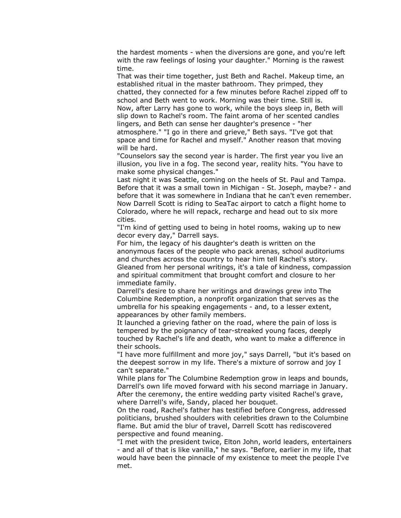the hardest moments - when the diversions are gone, and you're left with the raw feelings of losing your daughter." Morning is the rawest time.

That was their time together, just Beth and Rachel. Makeup time, an established ritual in the master bathroom. They primped, they chatted, they connected for a few minutes before Rachel zipped off to school and Beth went to work. Morning was their time. Still is. Now, after Larry has gone to work, while the boys sleep in, Beth will slip down to Rachel's room. The faint aroma of her scented candles lingers, and Beth can sense her daughter's presence - "her atmosphere." "I go in there and grieve," Beth says. "I've got that space and time for Rachel and myself." Another reason that moving will be hard.

"Counselors say the second year is harder. The first year you live an illusion, you live in a fog. The second year, reality hits. "You have to make some physical changes."

Last night it was Seattle, coming on the heels of St. Paul and Tampa. Before that it was a small town in Michigan - St. Joseph, maybe? - and before that it was somewhere in Indiana that he can't even remember. Now Darrell Scott is riding to SeaTac airport to catch a flight home to Colorado, where he will repack, recharge and head out to six more cities.

"I'm kind of getting used to being in hotel rooms, waking up to new decor every day," Darrell says.

For him, the legacy of his daughter's death is written on the anonymous faces of the people who pack arenas, school auditoriums and churches across the country to hear him tell Rachel's story. Gleaned from her personal writings, it's a tale of kindness, compassion and spiritual commitment that brought comfort and closure to her immediate family.

Darrell's desire to share her writings and drawings grew into The Columbine Redemption, a nonprofit organization that serves as the umbrella for his speaking engagements - and, to a lesser extent, appearances by other family members.

It launched a grieving father on the road, where the pain of loss is tempered by the poignancy of tear-streaked young faces, deeply touched by Rachel's life and death, who want to make a difference in their schools.

"I have more fulfillment and more joy," says Darrell, "but it's based on the deepest sorrow in my life. There's a mixture of sorrow and joy I can't separate."

While plans for The Columbine Redemption grow in leaps and bounds, Darrell's own life moved forward with his second marriage in January. After the ceremony, the entire wedding party visited Rachel's grave, where Darrell's wife, Sandy, placed her bouquet.

On the road, Rachel's father has testified before Congress, addressed politicians, brushed shoulders with celebrities drawn to the Columbine flame. But amid the blur of travel, Darrell Scott has rediscovered perspective and found meaning.

"I met with the president twice, Elton John, world leaders, entertainers - and all of that is like vanilla," he says. "Before, earlier in my life, that would have been the pinnacle of my existence to meet the people I've met.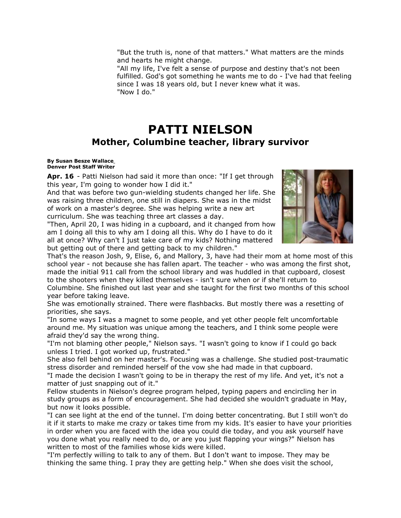"But the truth is, none of that matters." What matters are the minds and hearts he might change.

"All my life, I've felt a sense of purpose and destiny that's not been fulfilled. God's got something he wants me to do - I've had that feeling since I was 18 years old, but I never knew what it was. "Now I do."

### **PATTI NIELSON Mother, Columbine teacher, library survivor**

#### **By [Susan Besze Wallace](mailto:newsroom@denverpost.com) Denver Post Staff Writer**

**Apr. 16** - Patti Nielson had said it more than once: "If I get through this year, I'm going to wonder how I did it."

And that was before two gun-wielding students changed her life. She was raising three children, one still in diapers. She was in the midst of work on a master's degree. She was helping write a new art curriculum. She was teaching three art classes a day.

"Then, April 20, I was hiding in a cupboard, and it changed from how am I doing all this to why am I doing all this. Why do I have to do it all at once? Why can't I just take care of my kids? Nothing mattered but getting out of there and getting back to my children."



That's the reason Josh, 9, Elise, 6, and Mallory, 3, have had their mom at home most of this school year - not because she has fallen apart. The teacher - who was among the first shot, made the initial 911 call from the school library and was huddled in that cupboard, closest to the shooters when they killed themselves - isn't sure when or if she'll return to

Columbine. She finished out last year and she taught for the first two months of this school year before taking leave.

She was emotionally strained. There were flashbacks. But mostly there was a resetting of priorities, she says.

"In some ways I was a magnet to some people, and yet other people felt uncomfortable around me. My situation was unique among the teachers, and I think some people were afraid they'd say the wrong thing.

"I'm not blaming other people," Nielson says. "I wasn't going to know if I could go back unless I tried. I got worked up, frustrated."

She also fell behind on her master's. Focusing was a challenge. She studied post-traumatic stress disorder and reminded herself of the vow she had made in that cupboard.

"I made the decision I wasn't going to be in therapy the rest of my life. And yet, it's not a matter of just snapping out of it."

Fellow students in Nielson's degree program helped, typing papers and encircling her in study groups as a form of encouragement. She had decided she wouldn't graduate in May, but now it looks possible.

"I can see light at the end of the tunnel. I'm doing better concentrating. But I still won't do it if it starts to make me crazy or takes time from my kids. It's easier to have your priorities in order when you are faced with the idea you could die today, and you ask yourself have you done what you really need to do, or are you just flapping your wings?" Nielson has written to most of the families whose kids were killed.

"I'm perfectly willing to talk to any of them. But I don't want to impose. They may be thinking the same thing. I pray they are getting help." When she does visit the school,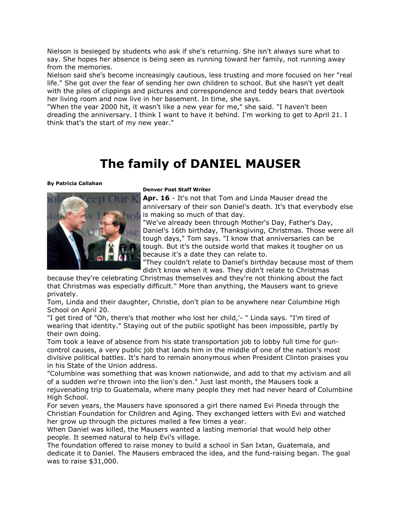Nielson is besieged by students who ask if she's returning. She isn't always sure what to say. She hopes her absence is being seen as running toward her family, not running away from the memories.

Nielson said she's become increasingly cautious, less trusting and more focused on her "real life." She got over the fear of sending her own children to school. But she hasn't yet dealt with the piles of clippings and pictures and correspondence and teddy bears that overtook her living room and now live in her basement. In time, she says.

"When the year 2000 hit, it wasn't like a new year for me," she said. "I haven't been dreading the anniversary. I think I want to have it behind. I'm working to get to April 21. I think that's the start of my new year."

## **The family of DANIEL MAUSER**

**By [Patricia Callahan](mailto:newsroom@denverpost.com)**



### **Denver Post Staff Writer**

**Apr. 16** - It's not that Tom and Linda Mauser dread the anniversary of their son Daniel's death. It's that everybody else is making so much of that day.

"We've already been through Mother's Day, Father's Day, Daniel's 16th birthday, Thanksgiving, Christmas. Those were all tough days," Tom says. "I know that anniversaries can be tough. But it's the outside world that makes it tougher on us because it's a date they can relate to.

"They couldn't relate to Daniel's birthday because most of them didn't know when it was. They didn't relate to Christmas

because they're celebrating Christmas themselves and they're not thinking about the fact that Christmas was especially difficult." More than anything, the Mausers want to grieve privately.

Tom, Linda and their daughter, Christie, don't plan to be anywhere near Columbine High School on April 20.

"I get tired of "Oh, there's that mother who lost her child,'- " Linda says. "I'm tired of wearing that identity." Staying out of the public spotlight has been impossible, partly by their own doing.

Tom took a leave of absence from his state transportation job to lobby full time for guncontrol causes, a very public job that lands him in the middle of one of the nation's most divisive political battles. It's hard to remain anonymous when President Clinton praises you in his State of the Union address.

"Columbine was something that was known nationwide, and add to that my activism and all of a sudden we're thrown into the lion's den." Just last month, the Mausers took a rejuvenating trip to Guatemala, where many people they met had never heard of Columbine High School.

For seven years, the Mausers have sponsored a girl there named Evi Pineda through the Christian Foundation for Children and Aging. They exchanged letters with Evi and watched her grow up through the pictures mailed a few times a year.

When Daniel was killed, the Mausers wanted a lasting memorial that would help other people. It seemed natural to help Evi's village.

The foundation offered to raise money to build a school in San Ixtan, Guatemala, and dedicate it to Daniel. The Mausers embraced the idea, and the fund-raising began. The goal was to raise \$31,000.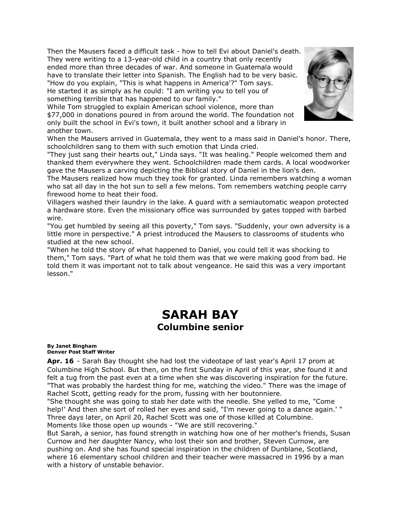Then the Mausers faced a difficult task - how to tell Evi about Daniel's death. They were writing to a 13-year-old child in a country that only recently ended more than three decades of war. And someone in Guatemala would have to translate their letter into Spanish. The English had to be very basic. "How do you explain, "This is what happens in America'?" Tom says. He started it as simply as he could: "I am writing you to tell you of something terrible that has happened to our family."

While Tom struggled to explain American school violence, more than \$77,000 in donations poured in from around the world. The foundation not only built the school in Evi's town, it built another school and a library in another town.



"They just sang their hearts out," Linda says. "It was healing." People welcomed them and thanked them everywhere they went. Schoolchildren made them cards. A local woodworker gave the Mausers a carving depicting the Biblical story of Daniel in the lion's den.

The Mausers realized how much they took for granted. Linda remembers watching a woman who sat all day in the hot sun to sell a few melons. Tom remembers watching people carry firewood home to heat their food.

Villagers washed their laundry in the lake. A guard with a semiautomatic weapon protected a hardware store. Even the missionary office was surrounded by gates topped with barbed wire.

"You get humbled by seeing all this poverty," Tom says. "Suddenly, your own adversity is a little more in perspective." A priest introduced the Mausers to classrooms of students who studied at the new school.

"When he told the story of what happened to Daniel, you could tell it was shocking to them," Tom says. "Part of what he told them was that we were making good from bad. He told them it was important not to talk about vengeance. He said this was a very important lesson."

## **SARAH BAY Columbine senior**

#### **By [Janet Bingham](mailto:newsroom@denverpost.com) Denver Post Staff Writer**

**Apr. 16** - Sarah Bay thought she had lost the videotape of last year's April 17 prom at Columbine High School. But then, on the first Sunday in April of this year, she found it and felt a tug from the past even at a time when she was discovering inspiration for the future. "That was probably the hardest thing for me, watching the video." There was the image of Rachel Scott, getting ready for the prom, fussing with her boutonniere.

"She thought she was going to stab her date with the needle. She yelled to me, "Come help!' And then she sort of rolled her eyes and said, "I'm never going to a dance again.' " Three days later, on April 20, Rachel Scott was one of those killed at Columbine. Moments like those open up wounds - "We are still recovering."

But Sarah, a senior, has found strength in watching how one of her mother's friends, Susan Curnow and her daughter Nancy, who lost their son and brother, Steven Curnow, are pushing on. And she has found special inspiration in the children of Dunblane, Scotland, where 16 elementary school children and their teacher were massacred in 1996 by a man with a history of unstable behavior.

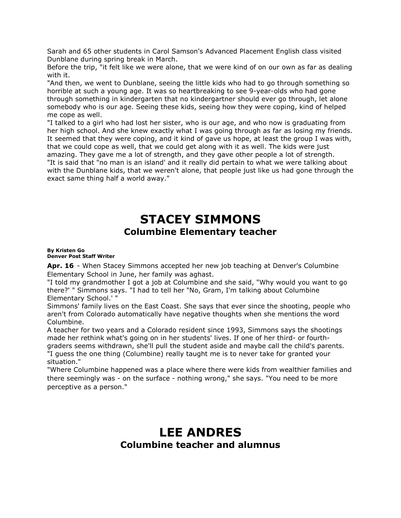Sarah and 65 other students in Carol Samson's Advanced Placement English class visited Dunblane during spring break in March.

Before the trip, "it felt like we were alone, that we were kind of on our own as far as dealing with it.

"And then, we went to Dunblane, seeing the little kids who had to go through something so horrible at such a young age. It was so heartbreaking to see 9-year-olds who had gone through something in kindergarten that no kindergartner should ever go through, let alone somebody who is our age. Seeing these kids, seeing how they were coping, kind of helped me cope as well.

"I talked to a girl who had lost her sister, who is our age, and who now is graduating from her high school. And she knew exactly what I was going through as far as losing my friends. It seemed that they were coping, and it kind of gave us hope, at least the group I was with, that we could cope as well, that we could get along with it as well. The kids were just amazing. They gave me a lot of strength, and they gave other people a lot of strength.

"It is said that "no man is an island' and it really did pertain to what we were talking about with the Dunblane kids, that we weren't alone, that people just like us had gone through the exact same thing half a world away."

## **STACEY SIMMONS Columbine Elementary teacher**

### **By [Kristen Go](mailto:newsroom@denverpost.com) Denver Post Staff Writer**

**Apr. 16** - When Stacey Simmons accepted her new job teaching at Denver's Columbine Elementary School in June, her family was aghast.

"I told my grandmother I got a job at Columbine and she said, "Why would you want to go there?' " Simmons says. "I had to tell her "No, Gram, I'm talking about Columbine Elementary School.' "

Simmons' family lives on the East Coast. She says that ever since the shooting, people who aren't from Colorado automatically have negative thoughts when she mentions the word Columbine.

A teacher for two years and a Colorado resident since 1993, Simmons says the shootings made her rethink what's going on in her students' lives. If one of her third- or fourthgraders seems withdrawn, she'll pull the student aside and maybe call the child's parents. "I guess the one thing (Columbine) really taught me is to never take for granted your situation."

"Where Columbine happened was a place where there were kids from wealthier families and there seemingly was - on the surface - nothing wrong," she says. "You need to be more perceptive as a person."

### **LEE ANDRES Columbine teacher and alumnus**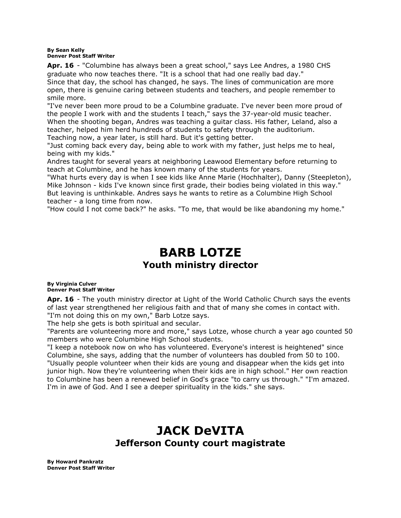### **By [Sean Kelly](mailto:newsroom@denverpost.com) Denver Post Staff Writer**

**Apr. 16** - "Columbine has always been a great school," says Lee Andres, a 1980 CHS graduate who now teaches there. "It is a school that had one really bad day." Since that day, the school has changed, he says. The lines of communication are more open, there is genuine caring between students and teachers, and people remember to smile more.

"I've never been more proud to be a Columbine graduate. I've never been more proud of the people I work with and the students I teach," says the 37-year-old music teacher. When the shooting began, Andres was teaching a guitar class. His father, Leland, also a teacher, helped him herd hundreds of students to safety through the auditorium. Teaching now, a year later, is still hard. But it's getting better.

"Just coming back every day, being able to work with my father, just helps me to heal, being with my kids."

Andres taught for several years at neighboring Leawood Elementary before returning to teach at Columbine, and he has known many of the students for years.

"What hurts every day is when I see kids like Anne Marie (Hochhalter), Danny (Steepleton), Mike Johnson - kids I've known since first grade, their bodies being violated in this way." But leaving is unthinkable. Andres says he wants to retire as a Columbine High School teacher - a long time from now.

"How could I not come back?" he asks. "To me, that would be like abandoning my home."

## **BARB LOTZE Youth ministry director**

### **By [Virginia Culver](mailto:newsroom@denverpost.com) Denver Post Staff Writer**

**Apr. 16** - The youth ministry director at Light of the World Catholic Church says the events of last year strengthened her religious faith and that of many she comes in contact with. "I'm not doing this on my own," Barb Lotze says.

The help she gets is both spiritual and secular.

"Parents are volunteering more and more," says Lotze, whose church a year ago counted 50 members who were Columbine High School students.

"I keep a notebook now on who has volunteered. Everyone's interest is heightened" since Columbine, she says, adding that the number of volunteers has doubled from 50 to 100. "Usually people volunteer when their kids are young and disappear when the kids get into junior high. Now they're volunteering when their kids are in high school." Her own reaction to Columbine has been a renewed belief in God's grace "to carry us through." "I'm amazed. I'm in awe of God. And I see a deeper spirituality in the kids." she says.

## **JACK DeVITA Jefferson County court magistrate**

**By [Howard Pankratz](mailto:newsroom@denverpost.com) Denver Post Staff Writer**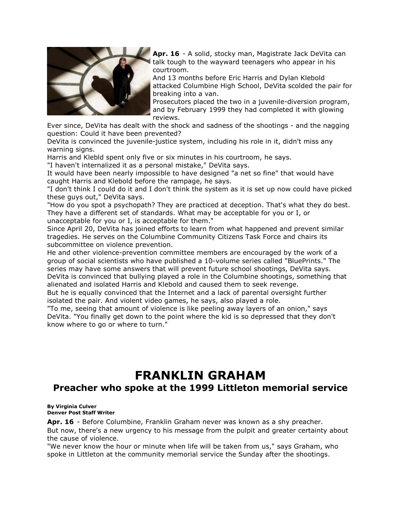

**Apr. 16** - A solid, stocky man, Magistrate Jack DeVita can talk tough to the wayward teenagers who appear in his courtroom.

And 13 months before Eric Harris and Dylan Klebold attacked Columbine High School, DeVita scolded the pair for breaking into a van.

Prosecutors placed the two in a juvenile-diversion program, and by February 1999 they had completed it with glowing reviews.

Ever since, DeVita has dealt with the shock and sadness of the shootings - and the nagging question: Could it have been prevented?

DeVita is convinced the juvenile-justice system, including his role in it, didn't miss any warning signs.

Harris and Klebld spent only five or six minutes in his courtroom, he says.

"I haven't internalized it as a personal mistake," DeVita says.

It would have been nearly impossible to have designed "a net so fine" that would have caught Harris and Klebold before the rampage, he says.

"I don't think I could do it and I don't think the system as it is set up now could have picked these guys out," DeVita says.

"How do you spot a psychopath? They are practiced at deception. That's what they do best. They have a different set of standards. What may be acceptable for you or I, or unacceptable for you or I, is acceptable for them."

Since April 20, DeVita has joined efforts to learn from what happened and prevent similar tragedies. He serves on the Columbine Community Citizens Task Force and chairs its subcommittee on violence prevention.

He and other violence-prevention committee members are encouraged by the work of a group of social scientists who have published a 10-volume series called "BluePrints." The series may have some answers that will prevent future school shootings, DeVita says. DeVita is convinced that bullying played a role in the Columbine shootings, something that alienated and isolated Harris and Klebold and caused them to seek revenge.

But he is equally convinced that the Internet and a lack of parental oversight further isolated the pair. And violent video games, he says, also played a role.

"To me, seeing that amount of violence is like peeling away layers of an onion," says DeVita. "You finally get down to the point where the kid is so depressed that they don't know where to go or where to turn."

# **FRANKLIN GRAHAM**

### **Preacher who spoke at the 1999 Littleton memorial service**

#### **By [Virginia Culver](mailto:newsroom@denverpost.com) Denver Post Staff Writer**

**Apr. 16** - Before Columbine, Franklin Graham never was known as a shy preacher. But now, there's a new urgency to his message from the pulpit and greater certainty about the cause of violence.

"We never know the hour or minute when life will be taken from us," says Graham, who spoke in Littleton at the community memorial service the Sunday after the shootings.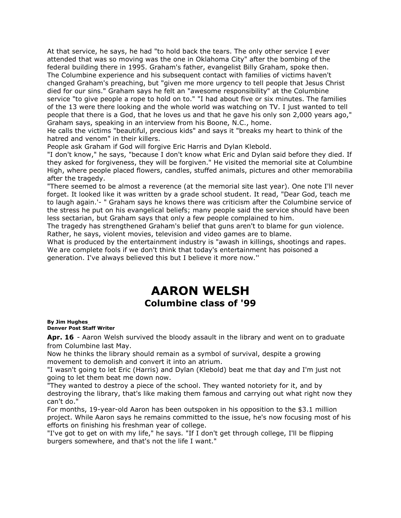At that service, he says, he had "to hold back the tears. The only other service I ever attended that was so moving was the one in Oklahoma City" after the bombing of the federal building there in 1995. Graham's father, evangelist Billy Graham, spoke then. The Columbine experience and his subsequent contact with families of victims haven't changed Graham's preaching, but "given me more urgency to tell people that Jesus Christ died for our sins." Graham says he felt an "awesome responsibility" at the Columbine service "to give people a rope to hold on to." "I had about five or six minutes. The families of the 13 were there looking and the whole world was watching on TV. I just wanted to tell people that there is a God, that he loves us and that he gave his only son 2,000 years ago," Graham says, speaking in an interview from his Boone, N.C., home.

He calls the victims "beautiful, precious kids" and says it "breaks my heart to think of the hatred and venom" in their killers.

People ask Graham if God will forgive Eric Harris and Dylan Klebold.

"I don't know," he says, "because I don't know what Eric and Dylan said before they died. If they asked for forgiveness, they will be forgiven." He visited the memorial site at Columbine High, where people placed flowers, candles, stuffed animals, pictures and other memorabilia after the tragedy.

"There seemed to be almost a reverence (at the memorial site last year). One note I'll never forget. It looked like it was written by a grade school student. It read, "Dear God, teach me to laugh again.'- " Graham says he knows there was criticism after the Columbine service of the stress he put on his evangelical beliefs; many people said the service should have been less sectarian, but Graham says that only a few people complained to him.

The tragedy has strengthened Graham's belief that guns aren't to blame for gun violence. Rather, he says, violent movies, television and video games are to blame.

What is produced by the entertainment industry is "awash in killings, shootings and rapes. We are complete fools if we don't think that today's entertainment has poisoned a generation. I've always believed this but I believe it more now.''

### **AARON WELSH Columbine class of '99**

#### **By [Jim Hughes](mailto:newsroom@denverpost.com) Denver Post Staff Writer**

**Apr. 16** - Aaron Welsh survived the bloody assault in the library and went on to graduate from Columbine last May.

Now he thinks the library should remain as a symbol of survival, despite a growing movement to demolish and convert it into an atrium.

"I wasn't going to let Eric (Harris) and Dylan (Klebold) beat me that day and I'm just not going to let them beat me down now.

"They wanted to destroy a piece of the school. They wanted notoriety for it, and by destroying the library, that's like making them famous and carrying out what right now they can't do."

For months, 19-year-old Aaron has been outspoken in his opposition to the \$3.1 million project. While Aaron says he remains committed to the issue, he's now focusing most of his efforts on finishing his freshman year of college.

"I've got to get on with my life," he says. "If I don't get through college, I'll be flipping burgers somewhere, and that's not the life I want."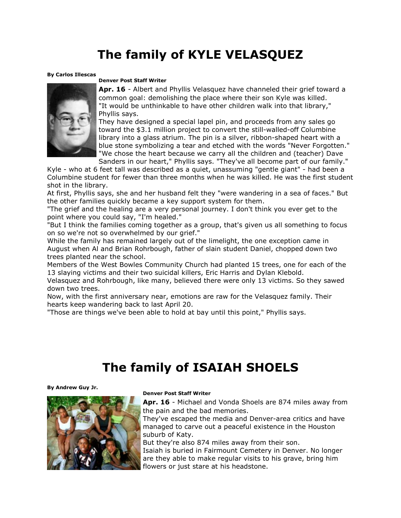## **The family of KYLE VELASQUEZ**

### **By [Carlos Illescas](mailto:newsroom@denverpost.com)**



### **Denver Post Staff Writer**

**Apr. 16** - Albert and Phyllis Velasquez have channeled their grief toward a common goal: demolishing the place where their son Kyle was killed. "It would be unthinkable to have other children walk into that library," Phyllis says.

They have designed a special lapel pin, and proceeds from any sales go toward the \$3.1 million project to convert the still-walled-off Columbine library into a glass atrium. The pin is a silver, ribbon-shaped heart with a blue stone symbolizing a tear and etched with the words "Never Forgotten." "We chose the heart because we carry all the children and (teacher) Dave Sanders in our heart," Phyllis says. "They've all become part of our family."

Kyle - who at 6 feet tall was described as a quiet, unassuming "gentle giant" - had been a Columbine student for fewer than three months when he was killed. He was the first student shot in the library.

At first, Phyllis says, she and her husband felt they "were wandering in a sea of faces." But the other families quickly became a key support system for them.

"The grief and the healing are a very personal journey. I don't think you ever get to the point where you could say, "I'm healed."

"But I think the families coming together as a group, that's given us all something to focus on so we're not so overwhelmed by our grief."

While the family has remained largely out of the limelight, the one exception came in August when Al and Brian Rohrbough, father of slain student Daniel, chopped down two trees planted near the school.

Members of the West Bowles Community Church had planted 15 trees, one for each of the 13 slaying victims and their two suicidal killers, Eric Harris and Dylan Klebold.

Velasquez and Rohrbough, like many, believed there were only 13 victims. So they sawed down two trees.

Now, with the first anniversary near, emotions are raw for the Velasquez family. Their hearts keep wandering back to last April 20.

"Those are things we've been able to hold at bay until this point," Phyllis says.

## **The family of ISAIAH SHOELS**

### **By [Andrew Guy Jr.](mailto:newsroom@denverpost.com)**



### **Denver Post Staff Writer**

**Apr. 16** - Michael and Vonda Shoels are 874 miles away from the pain and the bad memories.

They've escaped the media and Denver-area critics and have managed to carve out a peaceful existence in the Houston suburb of Katy.

But they're also 874 miles away from their son.

Isaiah is buried in Fairmount Cemetery in Denver. No longer are they able to make regular visits to his grave, bring him flowers or just stare at his headstone.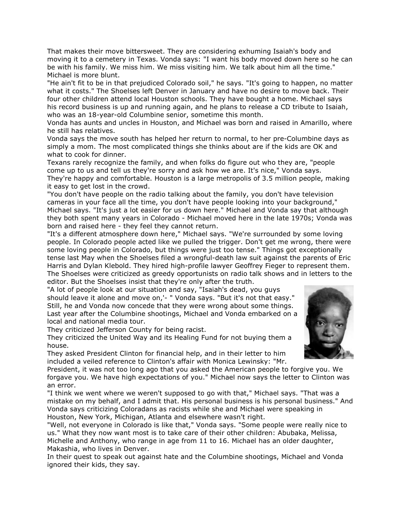That makes their move bittersweet. They are considering exhuming Isaiah's body and moving it to a cemetery in Texas. Vonda says: "I want his body moved down here so he can be with his family. We miss him. We miss visiting him. We talk about him all the time." Michael is more blunt.

"He ain't fit to be in that prejudiced Colorado soil," he says. "It's going to happen, no matter what it costs." The Shoelses left Denver in January and have no desire to move back. Their four other children attend local Houston schools. They have bought a home. Michael says his record business is up and running again, and he plans to release a CD tribute to Isaiah, who was an 18-year-old Columbine senior, sometime this month.

Vonda has aunts and uncles in Houston, and Michael was born and raised in Amarillo, where he still has relatives.

Vonda says the move south has helped her return to normal, to her pre-Columbine days as simply a mom. The most complicated things she thinks about are if the kids are OK and what to cook for dinner.

Texans rarely recognize the family, and when folks do figure out who they are, "people come up to us and tell us they're sorry and ask how we are. It's nice," Vonda says. They're happy and comfortable. Houston is a large metropolis of 3.5 million people, making it easy to get lost in the crowd.

"You don't have people on the radio talking about the family, you don't have television cameras in your face all the time, you don't have people looking into your background," Michael says. "It's just a lot easier for us down here." Michael and Vonda say that although they both spent many years in Colorado - Michael moved here in the late 1970s; Vonda was born and raised here - they feel they cannot return.

"It's a different atmosphere down here," Michael says. "We're surrounded by some loving people. In Colorado people acted like we pulled the trigger. Don't get me wrong, there were some loving people in Colorado, but things were just too tense." Things got exceptionally tense last May when the Shoelses filed a wrongful-death law suit against the parents of Eric Harris and Dylan Klebold. They hired high-profile lawyer Geoffrey Fieger to represent them. The Shoelses were criticized as greedy opportunists on radio talk shows and in letters to the editor. But the Shoelses insist that they're only after the truth.

"A lot of people look at our situation and say, "Isaiah's dead, you guys should leave it alone and move on,'- " Vonda says. "But it's not that easy." Still, he and Vonda now concede that they were wrong about some things. Last year after the Columbine shootings, Michael and Vonda embarked on a local and national media tour.

They criticized Jefferson County for being racist.

They criticized the United Way and its Healing Fund for not buying them a house.

They asked President Clinton for financial help, and in their letter to him included a veiled reference to Clinton's affair with Monica Lewinsky: "Mr.

President, it was not too long ago that you asked the American people to forgive you. We forgave you. We have high expectations of you." Michael now says the letter to Clinton was an error.

"I think we went where we weren't supposed to go with that," Michael says. "That was a mistake on my behalf, and I admit that. His personal business is his personal business." And Vonda says criticizing Coloradans as racists while she and Michael were speaking in Houston, New York, Michigan, Atlanta and elsewhere wasn't right.

"Well, not everyone in Colorado is like that," Vonda says. "Some people were really nice to us." What they now want most is to take care of their other children: Abubaka, Melissa, Michelle and Anthony, who range in age from 11 to 16. Michael has an older daughter, Makashia, who lives in Denver.

In their quest to speak out against hate and the Columbine shootings, Michael and Vonda ignored their kids, they say.

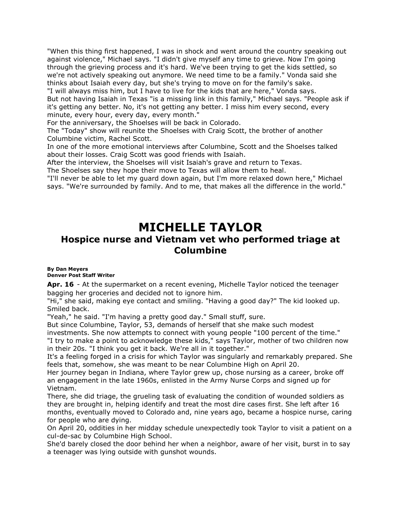"When this thing first happened, I was in shock and went around the country speaking out against violence," Michael says. "I didn't give myself any time to grieve. Now I'm going through the grieving process and it's hard. We've been trying to get the kids settled, so we're not actively speaking out anymore. We need time to be a family." Vonda said she thinks about Isaiah every day, but she's trying to move on for the family's sake.

"I will always miss him, but I have to live for the kids that are here," Vonda says. But not having Isaiah in Texas "is a missing link in this family," Michael says. "People ask if it's getting any better. No, it's not getting any better. I miss him every second, every

minute, every hour, every day, every month."

For the anniversary, the Shoelses will be back in Colorado.

The "Today" show will reunite the Shoelses with Craig Scott, the brother of another Columbine victim, Rachel Scott.

In one of the more emotional interviews after Columbine, Scott and the Shoelses talked about their losses. Craig Scott was good friends with Isaiah.

After the interview, the Shoelses will visit Isaiah's grave and return to Texas. The Shoelses say they hope their move to Texas will allow them to heal.

"I'll never be able to let my guard down again, but I'm more relaxed down here," Michael says. "We're surrounded by family. And to me, that makes all the difference in the world."

## **MICHELLE TAYLOR**

### **Hospice nurse and Vietnam vet who performed triage at Columbine**

### **By [Dan Meyers](mailto:newsroom@denverpost.com) Denver Post Staff Writer**

**Apr. 16** - At the supermarket on a recent evening, Michelle Taylor noticed the teenager bagging her groceries and decided not to ignore him.

"Hi," she said, making eye contact and smiling. "Having a good day?" The kid looked up. Smiled back.

"Yeah," he said. "I'm having a pretty good day." Small stuff, sure.

But since Columbine, Taylor, 53, demands of herself that she make such modest

investments. She now attempts to connect with young people "100 percent of the time." "I try to make a point to acknowledge these kids," says Taylor, mother of two children now in their 20s. "I think you get it back. We're all in it together."

It's a feeling forged in a crisis for which Taylor was singularly and remarkably prepared. She feels that, somehow, she was meant to be near Columbine High on April 20.

Her journey began in Indiana, where Taylor grew up, chose nursing as a career, broke off an engagement in the late 1960s, enlisted in the Army Nurse Corps and signed up for Vietnam.

There, she did triage, the grueling task of evaluating the condition of wounded soldiers as they are brought in, helping identify and treat the most dire cases first. She left after 16 months, eventually moved to Colorado and, nine years ago, became a hospice nurse, caring for people who are dying.

On April 20, oddities in her midday schedule unexpectedly took Taylor to visit a patient on a cul-de-sac by Columbine High School.

She'd barely closed the door behind her when a neighbor, aware of her visit, burst in to say a teenager was lying outside with gunshot wounds.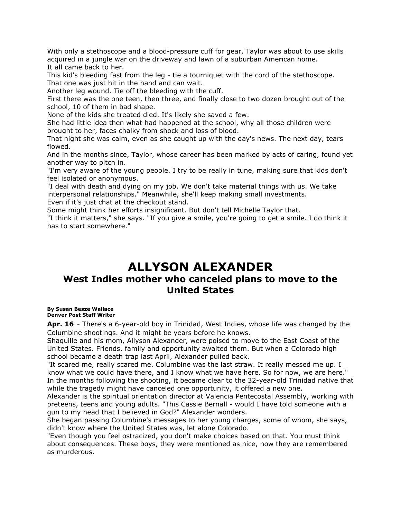With only a stethoscope and a blood-pressure cuff for gear, Taylor was about to use skills acquired in a jungle war on the driveway and lawn of a suburban American home. It all came back to her.

This kid's bleeding fast from the leg - tie a tourniquet with the cord of the stethoscope. That one was just hit in the hand and can wait.

Another leg wound. Tie off the bleeding with the cuff.

First there was the one teen, then three, and finally close to two dozen brought out of the school, 10 of them in bad shape.

None of the kids she treated died. It's likely she saved a few.

She had little idea then what had happened at the school, why all those children were brought to her, faces chalky from shock and loss of blood.

That night she was calm, even as she caught up with the day's news. The next day, tears flowed.

And in the months since, Taylor, whose career has been marked by acts of caring, found yet another way to pitch in.

"I'm very aware of the young people. I try to be really in tune, making sure that kids don't feel isolated or anonymous.

"I deal with death and dying on my job. We don't take material things with us. We take interpersonal relationships." Meanwhile, she'll keep making small investments. Even if it's just chat at the checkout stand.

Some might think her efforts insignificant. But don't tell Michelle Taylor that.

"I think it matters," she says. "If you give a smile, you're going to get a smile. I do think it has to start somewhere."

## **ALLYSON ALEXANDER**

### **West Indies mother who canceled plans to move to the United States**

**By [Susan Besze Wallace](mailto:newsroom@denverpost.com) Denver Post Staff Writer**

**Apr. 16** - There's a 6-year-old boy in Trinidad, West Indies, whose life was changed by the Columbine shootings. And it might be years before he knows.

Shaquille and his mom, Allyson Alexander, were poised to move to the East Coast of the United States. Friends, family and opportunity awaited them. But when a Colorado high school became a death trap last April, Alexander pulled back.

"It scared me, really scared me. Columbine was the last straw. It really messed me up. I know what we could have there, and I know what we have here. So for now, we are here." In the months following the shooting, it became clear to the 32-year-old Trinidad native that while the tragedy might have canceled one opportunity, it offered a new one.

Alexander is the spiritual orientation director at Valencia Pentecostal Assembly, working with preteens, teens and young adults. "This Cassie Bernall - would I have told someone with a gun to my head that I believed in God?" Alexander wonders.

She began passing Columbine's messages to her young charges, some of whom, she says, didn't know where the United States was, let alone Colorado.

"Even though you feel ostracized, you don't make choices based on that. You must think about consequences. These boys, they were mentioned as nice, now they are remembered as murderous.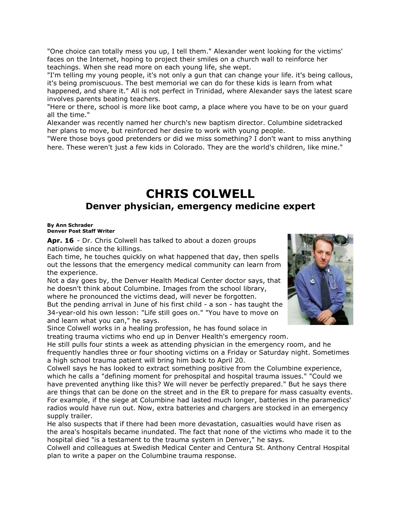"One choice can totally mess you up, I tell them." Alexander went looking for the victims' faces on the Internet, hoping to project their smiles on a church wall to reinforce her teachings. When she read more on each young life, she wept.

"I'm telling my young people, it's not only a gun that can change your life. it's being callous, it's being promiscuous. The best memorial we can do for these kids is learn from what happened, and share it." All is not perfect in Trinidad, where Alexander says the latest scare involves parents beating teachers.

"Here or there, school is more like boot camp, a place where you have to be on your guard all the time."

Alexander was recently named her church's new baptism director. Columbine sidetracked her plans to move, but reinforced her desire to work with young people.

"Were those boys good pretenders or did we miss something? I don't want to miss anything here. These weren't just a few kids in Colorado. They are the world's children, like mine."

### **CHRIS COLWELL Denver physician, emergency medicine expert**

#### **By [Ann Schrader](mailto:newsroom@denverpost.com) Denver Post Staff Writer**

**Apr. 16** - Dr. Chris Colwell has talked to about a dozen groups nationwide since the killings.

Each time, he touches quickly on what happened that day, then spells out the lessons that the emergency medical community can learn from the experience.

Not a day goes by, the Denver Health Medical Center doctor says, that he doesn't think about Columbine. Images from the school library, where he pronounced the victims dead, will never be forgotten.

But the pending arrival in June of his first child - a son - has taught the 34-year-old his own lesson: "Life still goes on." "You have to move on and learn what you can," he says.

Since Colwell works in a healing profession, he has found solace in treating trauma victims who end up in Denver Health's emergency room.

He still pulls four stints a week as attending physician in the emergency room, and he frequently handles three or four shooting victims on a Friday or Saturday night. Sometimes a high school trauma patient will bring him back to April 20.

Colwell says he has looked to extract something positive from the Columbine experience, which he calls a "defining moment for prehospital and hospital trauma issues." "Could we have prevented anything like this? We will never be perfectly prepared." But he says there are things that can be done on the street and in the ER to prepare for mass casualty events. For example, if the siege at Columbine had lasted much longer, batteries in the paramedics' radios would have run out. Now, extra batteries and chargers are stocked in an emergency supply trailer.

He also suspects that if there had been more devastation, casualties would have risen as the area's hospitals became inundated. The fact that none of the victims who made it to the hospital died "is a testament to the trauma system in Denver," he says.

Colwell and colleagues at Swedish Medical Center and Centura St. Anthony Central Hospital plan to write a paper on the Columbine trauma response.

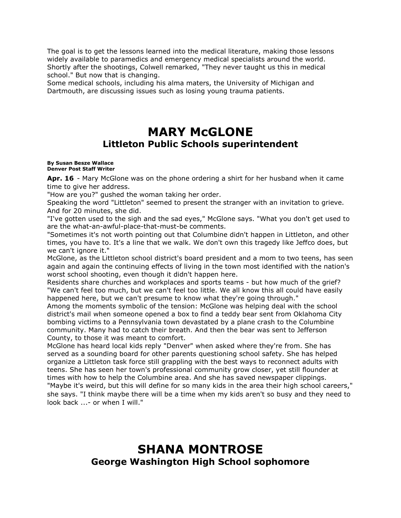The goal is to get the lessons learned into the medical literature, making those lessons widely available to paramedics and emergency medical specialists around the world. Shortly after the shootings, Colwell remarked, "They never taught us this in medical school." But now that is changing.

Some medical schools, including his alma maters, the University of Michigan and Dartmouth, are discussing issues such as losing young trauma patients.

## **MARY McGLONE Littleton Public Schools superintendent**

#### **By [Susan Besze Wallace](mailto:newsroom@denverpost.com) Denver Post Staff Writer**

**Apr. 16** - Mary McGlone was on the phone ordering a shirt for her husband when it came time to give her address.

"How are you?" gushed the woman taking her order.

Speaking the word "Littleton" seemed to present the stranger with an invitation to grieve. And for 20 minutes, she did.

"I've gotten used to the sigh and the sad eyes," McGlone says. "What you don't get used to are the what-an-awful-place-that-must-be comments.

"Sometimes it's not worth pointing out that Columbine didn't happen in Littleton, and other times, you have to. It's a line that we walk. We don't own this tragedy like Jeffco does, but we can't ignore it."

McGlone, as the Littleton school district's board president and a mom to two teens, has seen again and again the continuing effects of living in the town most identified with the nation's worst school shooting, even though it didn't happen here.

Residents share churches and workplaces and sports teams - but how much of the grief? "We can't feel too much, but we can't feel too little. We all know this all could have easily happened here, but we can't presume to know what they're going through."

Among the moments symbolic of the tension: McGlone was helping deal with the school district's mail when someone opened a box to find a teddy bear sent from Oklahoma City bombing victims to a Pennsylvania town devastated by a plane crash to the Columbine community. Many had to catch their breath. And then the bear was sent to Jefferson County, to those it was meant to comfort.

McGlone has heard local kids reply "Denver" when asked where they're from. She has served as a sounding board for other parents questioning school safety. She has helped organize a Littleton task force still grappling with the best ways to reconnect adults with teens. She has seen her town's professional community grow closer, yet still flounder at times with how to help the Columbine area. And she has saved newspaper clippings. "Maybe it's weird, but this will define for so many kids in the area their high school careers," she says. "I think maybe there will be a time when my kids aren't so busy and they need to look back ...- or when I will."

## **SHANA MONTROSE George Washington High School sophomore**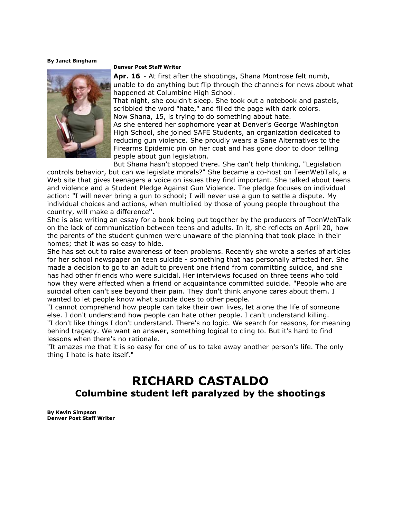**By [Janet Bingham](mailto:newsroom@denverpost.com)**



#### **Denver Post Staff Writer**

**Apr. 16** - At first after the shootings, Shana Montrose felt numb, unable to do anything but flip through the channels for news about what happened at Columbine High School.

That night, she couldn't sleep. She took out a notebook and pastels, scribbled the word "hate," and filled the page with dark colors. Now Shana, 15, is trying to do something about hate.

As she entered her sophomore year at Denver's George Washington High School, she joined SAFE Students, an organization dedicated to reducing gun violence. She proudly wears a Sane Alternatives to the Firearms Epidemic pin on her coat and has gone door to door telling people about gun legislation.

But Shana hasn't stopped there. She can't help thinking, "Legislation controls behavior, but can we legislate morals?" She became a co-host on TeenWebTalk, a Web site that gives teenagers a voice on issues they find important. She talked about teens and violence and a Student Pledge Against Gun Violence. The pledge focuses on individual action: "I will never bring a gun to school; I will never use a gun to settle a dispute. My individual choices and actions, when multiplied by those of young people throughout the country, will make a difference''.

She is also writing an essay for a book being put together by the producers of TeenWebTalk on the lack of communication between teens and adults. In it, she reflects on April 20, how the parents of the student gunmen were unaware of the planning that took place in their homes; that it was so easy to hide.

She has set out to raise awareness of teen problems. Recently she wrote a series of articles for her school newspaper on teen suicide - something that has personally affected her. She made a decision to go to an adult to prevent one friend from committing suicide, and she has had other friends who were suicidal. Her interviews focused on three teens who told how they were affected when a friend or acquaintance committed suicide. "People who are suicidal often can't see beyond their pain. They don't think anyone cares about them. I wanted to let people know what suicide does to other people.

"I cannot comprehend how people can take their own lives, let alone the life of someone else. I don't understand how people can hate other people. I can't understand killing. "I don't like things I don't understand. There's no logic. We search for reasons, for meaning behind tragedy. We want an answer, something logical to cling to. But it's hard to find lessons when there's no rationale.

"It amazes me that it is so easy for one of us to take away another person's life. The only thing I hate is hate itself."

## **RICHARD CASTALDO Columbine student left paralyzed by the shootings**

**By [Kevin Simpson](mailto:newsroom@denverpost.com) Denver Post Staff Writer**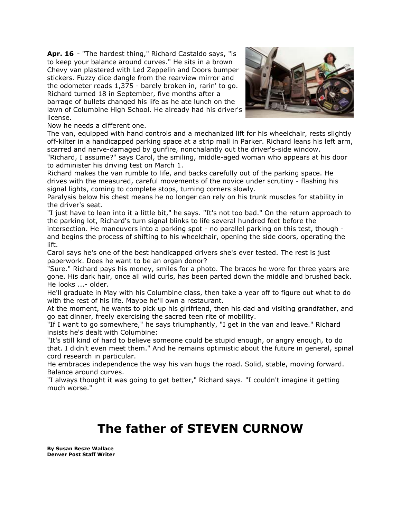**Apr. 16** - "The hardest thing," Richard Castaldo says, "is to keep your balance around curves." He sits in a brown Chevy van plastered with Led Zeppelin and Doors bumper stickers. Fuzzy dice dangle from the rearview mirror and the odometer reads 1,375 - barely broken in, rarin' to go. Richard turned 18 in September, five months after a barrage of bullets changed his life as he ate lunch on the lawn of Columbine High School. He already had his driver's license.



Now he needs a different one.

The van, equipped with hand controls and a mechanized lift for his wheelchair, rests slightly off-kilter in a handicapped parking space at a strip mall in Parker. Richard leans his left arm, scarred and nerve-damaged by gunfire, nonchalantly out the driver's-side window.

"Richard, I assume?" says Carol, the smiling, middle-aged woman who appears at his door to administer his driving test on March 1.

Richard makes the van rumble to life, and backs carefully out of the parking space. He drives with the measured, careful movements of the novice under scrutiny - flashing his signal lights, coming to complete stops, turning corners slowly.

Paralysis below his chest means he no longer can rely on his trunk muscles for stability in the driver's seat.

"I just have to lean into it a little bit," he says. "It's not too bad." On the return approach to the parking lot, Richard's turn signal blinks to life several hundred feet before the intersection. He maneuvers into a parking spot - no parallel parking on this test, though and begins the process of shifting to his wheelchair, opening the side doors, operating the lift.

Carol says he's one of the best handicapped drivers she's ever tested. The rest is just paperwork. Does he want to be an organ donor?

"Sure." Richard pays his money, smiles for a photo. The braces he wore for three years are gone. His dark hair, once all wild curls, has been parted down the middle and brushed back. He looks ...- older.

He'll graduate in May with his Columbine class, then take a year off to figure out what to do with the rest of his life. Maybe he'll own a restaurant.

At the moment, he wants to pick up his girlfriend, then his dad and visiting grandfather, and go eat dinner, freely exercising the sacred teen rite of mobility.

"If I want to go somewhere," he says triumphantly, "I get in the van and leave." Richard insists he's dealt with Columbine:

"It's still kind of hard to believe someone could be stupid enough, or angry enough, to do that. I didn't even meet them." And he remains optimistic about the future in general, spinal cord research in particular.

He embraces independence the way his van hugs the road. Solid, stable, moving forward. Balance around curves.

"I always thought it was going to get better," Richard says. "I couldn't imagine it getting much worse."

## **The father of STEVEN CURNOW**

**By [Susan Besze Wallace](mailto:newsroom@denverpost.com) Denver Post Staff Writer**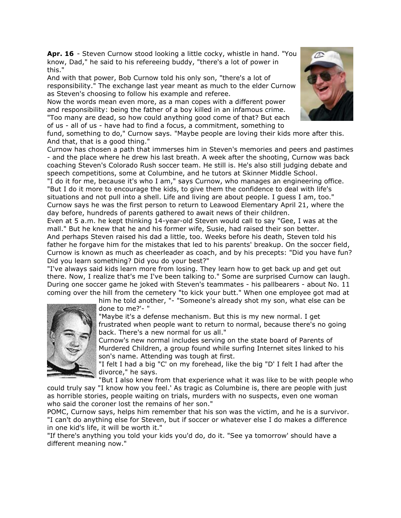**Apr. 16** - Steven Curnow stood looking a little cocky, whistle in hand. "You know, Dad," he said to his refereeing buddy, "there's a lot of power in this."

And with that power, Bob Curnow told his only son, "there's a lot of responsibility." The exchange last year meant as much to the elder Curnow as Steven's choosing to follow his example and referee.

Now the words mean even more, as a man copes with a different power and responsibility: being the father of a boy killed in an infamous crime. "Too many are dead, so how could anything good come of that? But each of us - all of us - have had to find a focus, a commitment, something to

fund, something to do," Curnow says. "Maybe people are loving their kids more after this. And that, that is a good thing."

Curnow has chosen a path that immerses him in Steven's memories and peers and pastimes - and the place where he drew his last breath. A week after the shooting, Curnow was back coaching Steven's Colorado Rush soccer team. He still is. He's also still judging debate and speech competitions, some at Columbine, and he tutors at Skinner Middle School.

"I do it for me, because it's who I am," says Curnow, who manages an engineering office. "But I do it more to encourage the kids, to give them the confidence to deal with life's situations and not pull into a shell. Life and living are about people. I guess I am, too." Curnow says he was the first person to return to Leawood Elementary April 21, where the day before, hundreds of parents gathered to await news of their children.

Even at 5 a.m. he kept thinking 14-year-old Steven would call to say "Gee, I was at the mall." But he knew that he and his former wife, Susie, had raised their son better. And perhaps Steven raised his dad a little, too. Weeks before his death, Steven told his father he forgave him for the mistakes that led to his parents' breakup. On the soccer field, Curnow is known as much as cheerleader as coach, and by his precepts: "Did you have fun? Did you learn something? Did you do your best?"

"I've always said kids learn more from losing. They learn how to get back up and get out there. Now, I realize that's me I've been talking to." Some are surprised Curnow can laugh. During one soccer game he joked with Steven's teammates - his pallbearers - about No. 11 coming over the hill from the cemetery "to kick your butt." When one employee got mad at

him he told another, "- "Someone's already shot my son, what else can be done to me?'- "

"Maybe it's a defense mechanism. But this is my new normal. I get frustrated when people want to return to normal, because there's no going back. There's a new normal for us all."

Curnow's new normal includes serving on the state board of Parents of Murdered Children, a group found while surfing Internet sites linked to his son's name. Attending was tough at first.

"I felt I had a big "C' on my forehead, like the big "D' I felt I had after the divorce," he says.

"But I also knew from that experience what it was like to be with people who could truly say "I know how you feel.' As tragic as Columbine is, there are people with just as horrible stories, people waiting on trials, murders with no suspects, even one woman who said the coroner lost the remains of her son."

POMC, Curnow says, helps him remember that his son was the victim, and he is a survivor. "I can't do anything else for Steven, but if soccer or whatever else I do makes a difference in one kid's life, it will be worth it."

"If there's anything you told your kids you'd do, do it. "See ya tomorrow' should have a different meaning now."



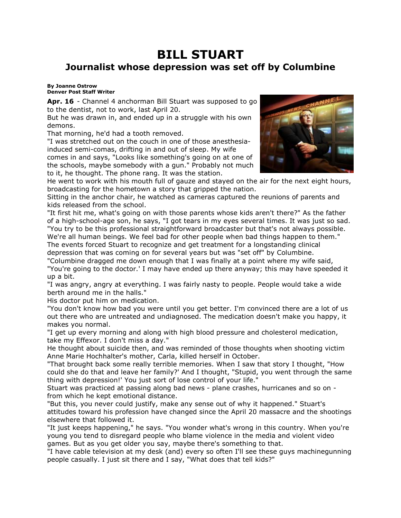## **BILL STUART Journalist whose depression was set off by Columbine**

### **By [Joanne Ostrow](mailto:newsroom@denverpost.com) Denver Post Staff Writer**

Apr. 16 - Channel 4 anchorman Bill Stuart was supposed to go to the dentist, not to work, last April 20.

But he was drawn in, and ended up in a struggle with his own demons.

That morning, he'd had a tooth removed.

"I was stretched out on the couch in one of those anesthesiainduced semi-comas, drifting in and out of sleep. My wife comes in and says, "Looks like something's going on at one of

the schools, maybe somebody with a gun." Probably not much to it, he thought. The phone rang. It was the station.



He went to work with his mouth full of gauze and stayed on the air for the next eight hours, broadcasting for the hometown a story that gripped the nation.

Sitting in the anchor chair, he watched as cameras captured the reunions of parents and kids released from the school.

"It first hit me, what's going on with those parents whose kids aren't there?" As the father of a high-school-age son, he says, "I got tears in my eyes several times. It was just so sad. "You try to be this professional straightforward broadcaster but that's not always possible. We're all human beings. We feel bad for other people when bad things happen to them." The events forced Stuart to recognize and get treatment for a longstanding clinical depression that was coming on for several years but was "set off" by Columbine.

"Columbine dragged me down enough that I was finally at a point where my wife said, "You're going to the doctor.' I may have ended up there anyway; this may have speeded it up a bit.

"I was angry, angry at everything. I was fairly nasty to people. People would take a wide berth around me in the halls."

His doctor put him on medication.

"You don't know how bad you were until you get better. I'm convinced there are a lot of us out there who are untreated and undiagnosed. The medication doesn't make you happy, it makes you normal.

"I get up every morning and along with high blood pressure and cholesterol medication, take my Effexor. I don't miss a day."

He thought about suicide then, and was reminded of those thoughts when shooting victim Anne Marie Hochhalter's mother, Carla, killed herself in October.

"That brought back some really terrible memories. When I saw that story I thought, "How could she do that and leave her family?' And I thought, "Stupid, you went through the same thing with depression!' You just sort of lose control of your life."

Stuart was practiced at passing along bad news - plane crashes, hurricanes and so on from which he kept emotional distance.

"But this, you never could justify, make any sense out of why it happened." Stuart's attitudes toward his profession have changed since the April 20 massacre and the shootings elsewhere that followed it.

"It just keeps happening," he says. "You wonder what's wrong in this country. When you're young you tend to disregard people who blame violence in the media and violent video games. But as you get older you say, maybe there's something to that.

"I have cable television at my desk (and) every so often I'll see these guys machinegunning people casually. I just sit there and I say, "What does that tell kids?"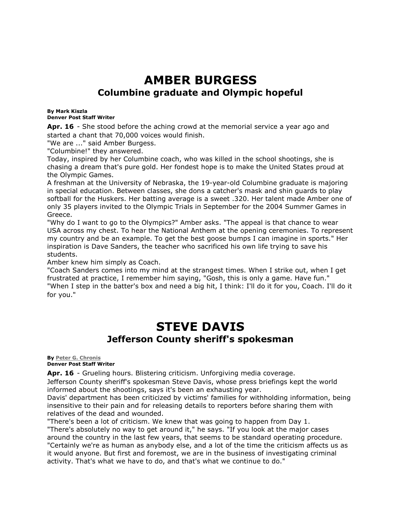## **AMBER BURGESS Columbine graduate and Olympic hopeful**

#### **By [Mark Kiszla](mailto:newsroom@denverpost.com) Denver Post Staff Writer**

**Apr. 16** - She stood before the aching crowd at the memorial service a year ago and started a chant that 70,000 voices would finish.

"We are ..." said Amber Burgess.

"Columbine!" they answered.

Today, inspired by her Columbine coach, who was killed in the school shootings, she is chasing a dream that's pure gold. Her fondest hope is to make the United States proud at the Olympic Games.

A freshman at the University of Nebraska, the 19-year-old Columbine graduate is majoring in special education. Between classes, she dons a catcher's mask and shin guards to play softball for the Huskers. Her batting average is a sweet .320. Her talent made Amber one of only 35 players invited to the Olympic Trials in September for the 2004 Summer Games in Greece.

"Why do I want to go to the Olympics?" Amber asks. "The appeal is that chance to wear USA across my chest. To hear the National Anthem at the opening ceremonies. To represent my country and be an example. To get the best goose bumps I can imagine in sports." Her inspiration is Dave Sanders, the teacher who sacrificed his own life trying to save his students.

Amber knew him simply as Coach.

"Coach Sanders comes into my mind at the strangest times. When I strike out, when I get frustrated at practice, I remember him saying, "Gosh, this is only a game. Have fun." "When I step in the batter's box and need a big hit, I think: I'll do it for you, Coach. I'll do it for you."

## **STEVE DAVIS Jefferson County sheriff's spokesman**

### **By [Peter G. Chronis](mailto:newsroom@denverpost.com) Denver Post Staff Writer**

**Apr. 16** - Grueling hours. Blistering criticism. Unforgiving media coverage.

Jefferson County sheriff's spokesman Steve Davis, whose press briefings kept the world informed about the shootings, says it's been an exhausting year.

Davis' department has been criticized by victims' families for withholding information, being insensitive to their pain and for releasing details to reporters before sharing them with relatives of the dead and wounded.

"There's been a lot of criticism. We knew that was going to happen from Day 1. "There's absolutely no way to get around it," he says. "If you look at the major cases around the country in the last few years, that seems to be standard operating procedure. "Certainly we're as human as anybody else, and a lot of the time the criticism affects us as it would anyone. But first and foremost, we are in the business of investigating criminal activity. That's what we have to do, and that's what we continue to do."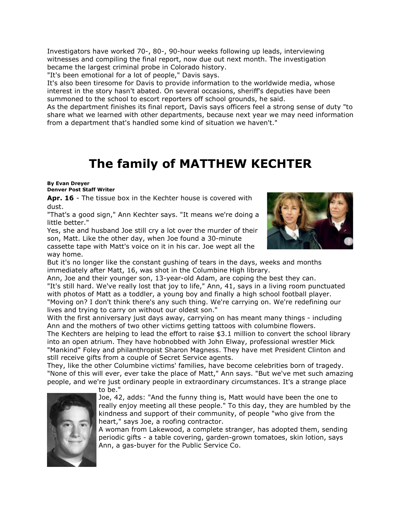Investigators have worked 70-, 80-, 90-hour weeks following up leads, interviewing witnesses and compiling the final report, now due out next month. The investigation became the largest criminal probe in Colorado history.

"It's been emotional for a lot of people," Davis says.

It's also been tiresome for Davis to provide information to the worldwide media, whose interest in the story hasn't abated. On several occasions, sheriff's deputies have been summoned to the school to escort reporters off school grounds, he said.

As the department finishes its final report, Davis says officers feel a strong sense of duty "to share what we learned with other departments, because next year we may need information from a department that's handled some kind of situation we haven't."

## **The family of MATTHEW KECHTER**

#### **By [Evan Dreyer](mailto:newsroom@denverpost.com) Denver Post Staff Writer**

**Apr. 16** - The tissue box in the Kechter house is covered with dust.

"That's a good sign," Ann Kechter says. "It means we're doing a little better."

Yes, she and husband Joe still cry a lot over the murder of their son, Matt. Like the other day, when Joe found a 30-minute cassette tape with Matt's voice on it in his car. Joe wept all the way home.



But it's no longer like the constant gushing of tears in the days, weeks and months immediately after Matt, 16, was shot in the Columbine High library.

Ann, Joe and their younger son, 13-year-old Adam, are coping the best they can. "It's still hard. We've really lost that joy to life," Ann, 41, says in a living room punctuated with photos of Matt as a toddler, a young boy and finally a high school football player. "Moving on? I don't think there's any such thing. We're carrying on. We're redefining our lives and trying to carry on without our oldest son."

With the first anniversary just days away, carrying on has meant many things - including Ann and the mothers of two other victims getting tattoos with columbine flowers.

The Kechters are helping to lead the effort to raise \$3.1 million to convert the school library into an open atrium. They have hobnobbed with John Elway, professional wrestler Mick "Mankind" Foley and philanthropist Sharon Magness. They have met President Clinton and still receive gifts from a couple of Secret Service agents.

They, like the other Columbine victims' families, have become celebrities born of tragedy. "None of this will ever, ever take the place of Matt," Ann says. "But we've met such amazing people, and we're just ordinary people in extraordinary circumstances. It's a strange place



to be."

Joe, 42, adds: "And the funny thing is, Matt would have been the one to really enjoy meeting all these people." To this day, they are humbled by the kindness and support of their community, of people "who give from the heart," says Joe, a roofing contractor.

A woman from Lakewood, a complete stranger, has adopted them, sending periodic gifts - a table covering, garden-grown tomatoes, skin lotion, says Ann, a gas-buyer for the Public Service Co.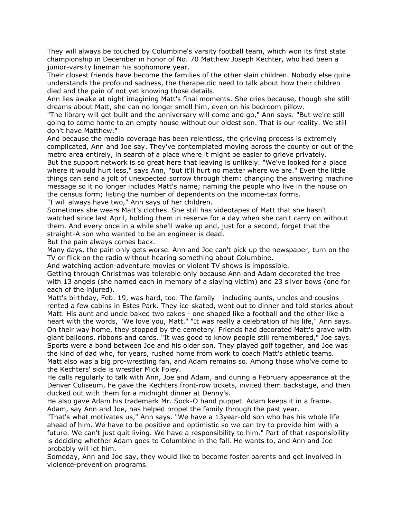They will always be touched by Columbine's varsity football team, which won its first state championship in December in honor of No. 70 Matthew Joseph Kechter, who had been a junior-varsity lineman his sophomore year.

Their closest friends have become the families of the other slain children. Nobody else quite understands the profound sadness, the therapeutic need to talk about how their children died and the pain of not yet knowing those details.

Ann lies awake at night imagining Matt's final moments. She cries because, though she still dreams about Matt, she can no longer smell him, even on his bedroom pillow.

"The library will get built and the anniversary will come and go," Ann says. "But we're still going to come home to an empty house without our oldest son. That is our reality. We still don't have Matthew."

And because the media coverage has been relentless, the grieving process is extremely complicated, Ann and Joe say. They've contemplated moving across the county or out of the metro area entirely, in search of a place where it might be easier to grieve privately. But the support network is so great here that leaving is unlikely. "We've looked for a place where it would hurt less," says Ann, "but it'll hurt no matter where we are." Even the little things can send a jolt of unexpected sorrow through them: changing the answering machine message so it no longer includes Matt's name; naming the people who live in the house on the census form; listing the number of dependents on the income-tax forms. "I will always have two," Ann says of her children.

Sometimes she wears Matt's clothes. She still has videotapes of Matt that she hasn't watched since last April, holding them in reserve for a day when she can't carry on without them. And every once in a while she'll wake up and, just for a second, forget that the straight-A son who wanted to be an engineer is dead.

But the pain always comes back.

Many days, the pain only gets worse. Ann and Joe can't pick up the newspaper, turn on the TV or flick on the radio without hearing something about Columbine.

And watching action-adventure movies or violent TV shows is impossible.

Getting through Christmas was tolerable only because Ann and Adam decorated the tree with 13 angels (she named each in memory of a slaying victim) and 23 silver bows (one for each of the injured).

Matt's birthday, Feb. 19, was hard, too. The family - including aunts, uncles and cousins rented a few cabins in Estes Park. They ice-skated, went out to dinner and told stories about Matt. His aunt and uncle baked two cakes - one shaped like a football and the other like a heart with the words, "We love you, Matt." "It was really a celebration of his life," Ann says. On their way home, they stopped by the cemetery. Friends had decorated Matt's grave with giant balloons, ribbons and cards. "It was good to know people still remembered," Joe says. Sports were a bond between Joe and his older son. They played golf together, and Joe was the kind of dad who, for years, rushed home from work to coach Matt's athletic teams. Matt also was a big pro-wrestling fan, and Adam remains so. Among those who've come to the Kechters' side is wrestler Mick Foley.

He calls regularly to talk with Ann, Joe and Adam, and during a February appearance at the Denver Coliseum, he gave the Kechters front-row tickets, invited them backstage, and then ducked out with them for a midnight dinner at Denny's.

He also gave Adam his trademark Mr. Sock-O hand puppet. Adam keeps it in a frame. Adam, say Ann and Joe, has helped propel the family through the past year.

"That's what motivates us," Ann says. "We have a 13year-old son who has his whole life ahead of him. We have to be positive and optimistic so we can try to provide him with a future. We can't just quit living. We have a responsibility to him." Part of that responsibility is deciding whether Adam goes to Columbine in the fall. He wants to, and Ann and Joe probably will let him.

Someday, Ann and Joe say, they would like to become foster parents and get involved in violence-prevention programs.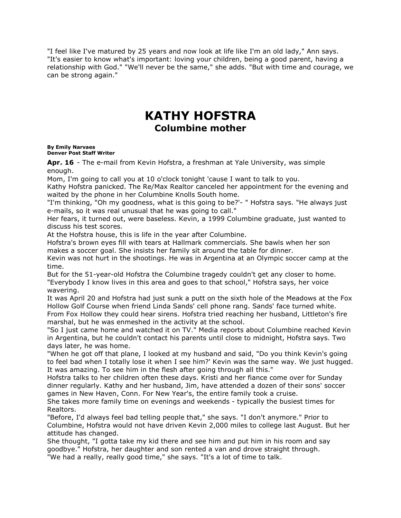"I feel like I've matured by 25 years and now look at life like I'm an old lady," Ann says. "It's easier to know what's important: loving your children, being a good parent, having a relationship with God." "We'll never be the same," she adds. "But with time and courage, we can be strong again."

## **KATHY HOFSTRA Columbine mother**

### **By [Emily Narvaes](mailto:newsroom@denverpost.com) Denver Post Staff Writer**

**Apr. 16** - The e-mail from Kevin Hofstra, a freshman at Yale University, was simple enough.

Mom, I'm going to call you at 10 o'clock tonight 'cause I want to talk to you.

Kathy Hofstra panicked. The Re/Max Realtor canceled her appointment for the evening and waited by the phone in her Columbine Knolls South home.

"I'm thinking, "Oh my goodness, what is this going to be?'- " Hofstra says. "He always just e-mails, so it was real unusual that he was going to call."

Her fears, it turned out, were baseless. Kevin, a 1999 Columbine graduate, just wanted to discuss his test scores.

At the Hofstra house, this is life in the year after Columbine.

Hofstra's brown eyes fill with tears at Hallmark commercials. She bawls when her son makes a soccer goal. She insists her family sit around the table for dinner.

Kevin was not hurt in the shootings. He was in Argentina at an Olympic soccer camp at the time.

But for the 51-year-old Hofstra the Columbine tragedy couldn't get any closer to home. "Everybody I know lives in this area and goes to that school," Hofstra says, her voice wavering.

It was April 20 and Hofstra had just sunk a putt on the sixth hole of the Meadows at the Fox Hollow Golf Course when friend Linda Sands' cell phone rang. Sands' face turned white. From Fox Hollow they could hear sirens. Hofstra tried reaching her husband, Littleton's fire marshal, but he was enmeshed in the activity at the school.

"So I just came home and watched it on TV." Media reports about Columbine reached Kevin in Argentina, but he couldn't contact his parents until close to midnight, Hofstra says. Two days later, he was home.

"When he got off that plane, I looked at my husband and said, "Do you think Kevin's going to feel bad when I totally lose it when I see him?' Kevin was the same way. We just hugged. It was amazing. To see him in the flesh after going through all this."

Hofstra talks to her children often these days. Kristi and her fiance come over for Sunday dinner regularly. Kathy and her husband, Jim, have attended a dozen of their sons' soccer games in New Haven, Conn. For New Year's, the entire family took a cruise.

She takes more family time on evenings and weekends - typically the busiest times for Realtors.

"Before, I'd always feel bad telling people that," she says. "I don't anymore." Prior to Columbine, Hofstra would not have driven Kevin 2,000 miles to college last August. But her attitude has changed.

She thought, "I gotta take my kid there and see him and put him in his room and say goodbye." Hofstra, her daughter and son rented a van and drove straight through. "We had a really, really good time," she says. "It's a lot of time to talk.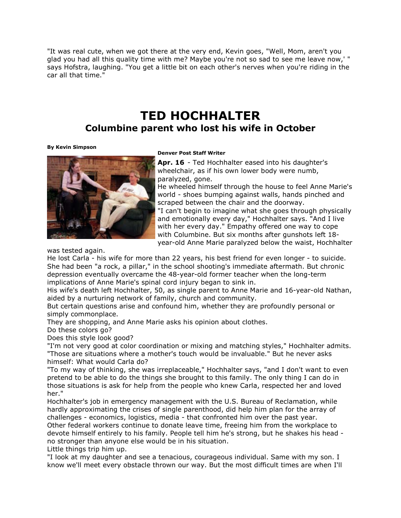"It was real cute, when we got there at the very end, Kevin goes, "Well, Mom, aren't you glad you had all this quality time with me? Maybe you're not so sad to see me leave now,' " says Hofstra, laughing. "You get a little bit on each other's nerves when you're riding in the car all that time."

# **TED HOCHHALTER**

### **Columbine parent who lost his wife in October**

### **By [Kevin Simpson](mailto:newsroom@denverpost.com)**



### **Denver Post Staff Writer**

**Apr. 16** - Ted Hochhalter eased into his daughter's wheelchair, as if his own lower body were numb, paralyzed, gone.

He wheeled himself through the house to feel Anne Marie's world - shoes bumping against walls, hands pinched and scraped between the chair and the doorway. "I can't begin to imagine what she goes through physically and emotionally every day," Hochhalter says. "And I live with her every day." Empathy offered one way to cope with Columbine. But six months after gunshots left 18-

year-old Anne Marie paralyzed below the waist, Hochhalter

was tested again.

He lost Carla - his wife for more than 22 years, his best friend for even longer - to suicide. She had been "a rock, a pillar," in the school shooting's immediate aftermath. But chronic depression eventually overcame the 48-year-old former teacher when the long-term implications of Anne Marie's spinal cord injury began to sink in.

His wife's death left Hochhalter, 50, as single parent to Anne Marie and 16-year-old Nathan, aided by a nurturing network of family, church and community.

But certain questions arise and confound him, whether they are profoundly personal or simply commonplace.

They are shopping, and Anne Marie asks his opinion about clothes.

Do these colors go?

Does this style look good?

"I'm not very good at color coordination or mixing and matching styles," Hochhalter admits. "Those are situations where a mother's touch would be invaluable." But he never asks himself: What would Carla do?

"To my way of thinking, she was irreplaceable," Hochhalter says, "and I don't want to even pretend to be able to do the things she brought to this family. The only thing I can do in those situations is ask for help from the people who knew Carla, respected her and loved her."

Hochhalter's job in emergency management with the U.S. Bureau of Reclamation, while hardly approximating the crises of single parenthood, did help him plan for the array of challenges - economics, logistics, media - that confronted him over the past year. Other federal workers continue to donate leave time, freeing him from the workplace to devote himself entirely to his family. People tell him he's strong, but he shakes his head -

no stronger than anyone else would be in his situation.

Little things trip him up.

"I look at my daughter and see a tenacious, courageous individual. Same with my son. I know we'll meet every obstacle thrown our way. But the most difficult times are when I'll